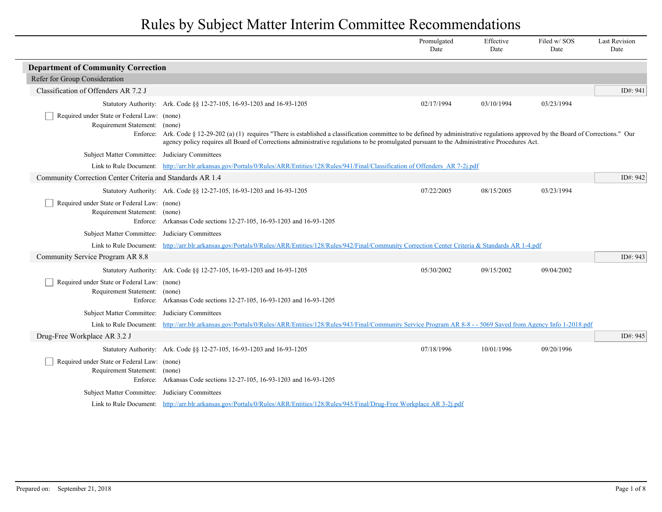|                                                                                          |                                                                                                                                                                                                                                                                                                                               | Promulgated<br>Date | Effective<br>Date | Filed w/SOS<br>Date | <b>Last Revision</b><br>Date |
|------------------------------------------------------------------------------------------|-------------------------------------------------------------------------------------------------------------------------------------------------------------------------------------------------------------------------------------------------------------------------------------------------------------------------------|---------------------|-------------------|---------------------|------------------------------|
| <b>Department of Community Correction</b>                                                |                                                                                                                                                                                                                                                                                                                               |                     |                   |                     |                              |
| Refer for Group Consideration                                                            |                                                                                                                                                                                                                                                                                                                               |                     |                   |                     |                              |
| Classification of Offenders AR 7.2 J                                                     |                                                                                                                                                                                                                                                                                                                               |                     |                   |                     | ID#: 941                     |
|                                                                                          | Statutory Authority: Ark. Code §§ 12-27-105, 16-93-1203 and 16-93-1205                                                                                                                                                                                                                                                        | 02/17/1994          | 03/10/1994        | 03/23/1994          |                              |
| Required under State or Federal Law: (none)<br>Requirement Statement: (none)<br>Enforce: | Ark. Code § 12-29-202 (a) (1) requires "There is established a classification committee to be defined by administrative regulations approved by the Board of Corrections." Our<br>agency policy requires all Board of Corrections administrative regulations to be promulgated pursuant to the Administrative Procedures Act. |                     |                   |                     |                              |
| Subject Matter Committee: Judiciary Committees                                           |                                                                                                                                                                                                                                                                                                                               |                     |                   |                     |                              |
|                                                                                          | Link to Rule Document: http://arr.blr.arkansas.gov/Portals/0/Rules/ARR/Entities/128/Rules/941/Final/Classification of Offenders AR 7-2i.pdf                                                                                                                                                                                   |                     |                   |                     |                              |
| Community Correction Center Criteria and Standards AR 1.4                                |                                                                                                                                                                                                                                                                                                                               |                     |                   |                     | ID#: 942                     |
|                                                                                          | Statutory Authority: Ark. Code §§ 12-27-105, 16-93-1203 and 16-93-1205                                                                                                                                                                                                                                                        | 07/22/2005          | 08/15/2005        | 03/23/1994          |                              |
| Required under State or Federal Law: (none)<br>Requirement Statement: (none)             | Enforce: Arkansas Code sections 12-27-105, 16-93-1203 and 16-93-1205                                                                                                                                                                                                                                                          |                     |                   |                     |                              |
| <b>Subject Matter Committee:</b>                                                         | Judiciary Committees                                                                                                                                                                                                                                                                                                          |                     |                   |                     |                              |
| Link to Rule Document:                                                                   | http://arr.blr.arkansas.gov/Portals/0/Rules/ARR/Entities/128/Rules/942/Final/Community Correction Center Criteria & Standards AR 1-4.pdf                                                                                                                                                                                      |                     |                   |                     |                              |
| Community Service Program AR 8.8                                                         |                                                                                                                                                                                                                                                                                                                               |                     |                   |                     | ID#: $943$                   |
|                                                                                          | Statutory Authority: Ark. Code §§ 12-27-105, 16-93-1203 and 16-93-1205                                                                                                                                                                                                                                                        | 05/30/2002          | 09/15/2002        | 09/04/2002          |                              |
| Required under State or Federal Law: (none)<br>Requirement Statement: (none)             | Enforce: Arkansas Code sections 12-27-105, 16-93-1203 and 16-93-1205                                                                                                                                                                                                                                                          |                     |                   |                     |                              |
| Subject Matter Committee:                                                                | Judiciary Committees                                                                                                                                                                                                                                                                                                          |                     |                   |                     |                              |
| Link to Rule Document:                                                                   | http://arr.blr.arkansas.gov/Portals/0/Rules/ARR/Entities/128/Rules/943/Final/Community Service Program AR 8-8 - - 5069 Saved from Agency Info 1-2018.pdf                                                                                                                                                                      |                     |                   |                     |                              |
| Drug-Free Workplace AR 3.2 J                                                             |                                                                                                                                                                                                                                                                                                                               |                     |                   |                     | ID#: $945$                   |
|                                                                                          | Statutory Authority: Ark. Code §§ 12-27-105, 16-93-1203 and 16-93-1205                                                                                                                                                                                                                                                        | 07/18/1996          | 10/01/1996        | 09/20/1996          |                              |
| Required under State or Federal Law: (none)<br>Requirement Statement: (none)             | Enforce: Arkansas Code sections 12-27-105, 16-93-1203 and 16-93-1205                                                                                                                                                                                                                                                          |                     |                   |                     |                              |
| Subject Matter Committee: Judiciary Committees                                           |                                                                                                                                                                                                                                                                                                                               |                     |                   |                     |                              |
|                                                                                          | Link to Rule Document: http://arr.blr.arkansas.gov/Portals/0/Rules/ARR/Entities/128/Rules/945/Final/Drug-Free Workplace AR 3-2j.pdf                                                                                                                                                                                           |                     |                   |                     |                              |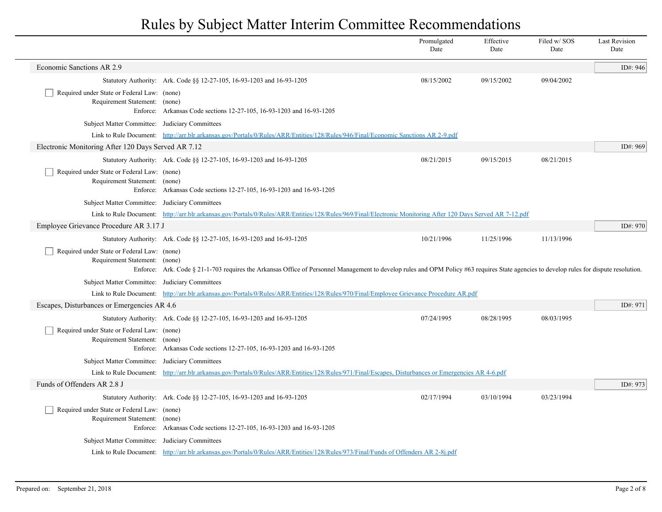|                                                                              |                                                                                                                                                                                                                                                                   | Promulgated<br>Date | Effective<br>Date | Filed w/SOS<br>Date | <b>Last Revision</b><br>Date |
|------------------------------------------------------------------------------|-------------------------------------------------------------------------------------------------------------------------------------------------------------------------------------------------------------------------------------------------------------------|---------------------|-------------------|---------------------|------------------------------|
| Economic Sanctions AR 2.9                                                    |                                                                                                                                                                                                                                                                   |                     |                   |                     | ID#: 946                     |
|                                                                              | Statutory Authority: Ark. Code §§ 12-27-105, 16-93-1203 and 16-93-1205                                                                                                                                                                                            | 08/15/2002          | 09/15/2002        | 09/04/2002          |                              |
| Required under State or Federal Law: (none)<br>Requirement Statement: (none) | Enforce: Arkansas Code sections 12-27-105, 16-93-1203 and 16-93-1205                                                                                                                                                                                              |                     |                   |                     |                              |
| Subject Matter Committee: Judiciary Committees                               |                                                                                                                                                                                                                                                                   |                     |                   |                     |                              |
|                                                                              | Link to Rule Document: http://arr.blr.arkansas.gov/Portals/0/Rules/ARR/Entities/128/Rules/946/Final/Economic Sanctions AR 2-9.pdf                                                                                                                                 |                     |                   |                     |                              |
| Electronic Monitoring After 120 Days Served AR 7.12                          |                                                                                                                                                                                                                                                                   |                     |                   |                     | ID#: 969                     |
|                                                                              | Statutory Authority: Ark. Code §§ 12-27-105, 16-93-1203 and 16-93-1205                                                                                                                                                                                            | 08/21/2015          | 09/15/2015        | 08/21/2015          |                              |
| Required under State or Federal Law: (none)<br>Requirement Statement: (none) | Enforce: Arkansas Code sections 12-27-105, 16-93-1203 and 16-93-1205                                                                                                                                                                                              |                     |                   |                     |                              |
| Subject Matter Committee: Judiciary Committees                               |                                                                                                                                                                                                                                                                   |                     |                   |                     |                              |
|                                                                              | Link to Rule Document: http://arr.blr.arkansas.gov/Portals/0/Rules/ARR/Entities/128/Rules/969/Final/Electronic Monitoring After 120 Days Served AR 7-12.pdf                                                                                                       |                     |                   |                     |                              |
| Employee Grievance Procedure AR 3.17 J                                       |                                                                                                                                                                                                                                                                   |                     |                   |                     | ID#: 970                     |
| Required under State or Federal Law: (none)<br>Requirement Statement: (none) | Statutory Authority: Ark. Code §§ 12-27-105, 16-93-1203 and 16-93-1205<br>Enforce: Ark. Code § 21-1-703 requires the Arkansas Office of Personnel Management to develop rules and OPM Policy #63 requires State agencies to develop rules for dispute resolution. | 10/21/1996          | 11/25/1996        | 11/13/1996          |                              |
| Subject Matter Committee: Judiciary Committees                               |                                                                                                                                                                                                                                                                   |                     |                   |                     |                              |
|                                                                              | Link to Rule Document: http://arr.blr.arkansas.gov/Portals/0/Rules/ARR/Entities/128/Rules/970/Final/Employee Grievance Procedure AR.pdf                                                                                                                           |                     |                   |                     |                              |
| Escapes, Disturbances or Emergencies AR 4.6                                  |                                                                                                                                                                                                                                                                   |                     |                   |                     | ID#: 971                     |
|                                                                              | Statutory Authority: Ark. Code §§ 12-27-105, 16-93-1203 and 16-93-1205                                                                                                                                                                                            | 07/24/1995          | 08/28/1995        | 08/03/1995          |                              |
| Required under State or Federal Law: (none)<br>Requirement Statement: (none) | Enforce: Arkansas Code sections 12-27-105, 16-93-1203 and 16-93-1205                                                                                                                                                                                              |                     |                   |                     |                              |
| Subject Matter Committee: Judiciary Committees                               |                                                                                                                                                                                                                                                                   |                     |                   |                     |                              |
|                                                                              | Link to Rule Document: http://arr.blr.arkansas.gov/Portals/0/Rules/ARR/Entities/128/Rules/971/Final/Escapes, Disturbances or Emergencies AR 4-6.pdf                                                                                                               |                     |                   |                     |                              |
| Funds of Offenders AR 2.8 J                                                  |                                                                                                                                                                                                                                                                   |                     |                   |                     | ID#: 973                     |
|                                                                              | Statutory Authority: Ark. Code §§ 12-27-105, 16-93-1203 and 16-93-1205                                                                                                                                                                                            | 02/17/1994          | 03/10/1994        | 03/23/1994          |                              |
| Required under State or Federal Law: (none)<br>Requirement Statement: (none) | Enforce: Arkansas Code sections 12-27-105, 16-93-1203 and 16-93-1205                                                                                                                                                                                              |                     |                   |                     |                              |
| Subject Matter Committee: Judiciary Committees                               |                                                                                                                                                                                                                                                                   |                     |                   |                     |                              |
|                                                                              | Link to Rule Document: http://arr.blr.arkansas.gov/Portals/0/Rules/ARR/Entities/128/Rules/973/Final/Funds of Offenders AR 2-8j.pdf                                                                                                                                |                     |                   |                     |                              |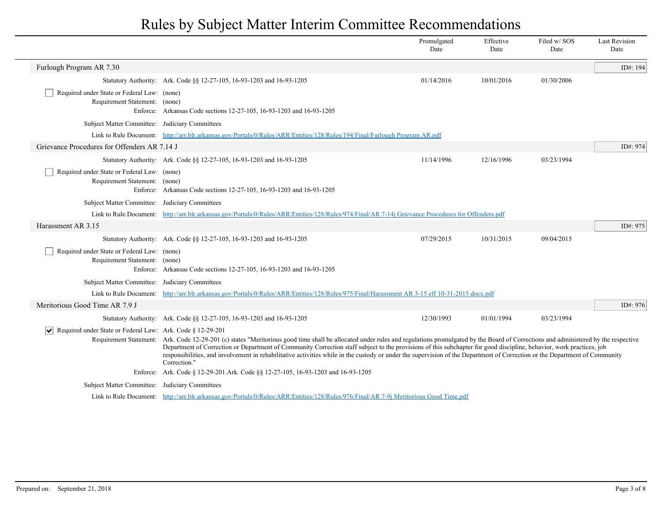|                                                                              |                                                                                                                                                                                                                                                                                                                                                                                                                                                                                                                                                                               | Promulgated<br>Date | Effective<br>Date | Filed w/SOS<br>Date | <b>Last Revision</b><br>Date |
|------------------------------------------------------------------------------|-------------------------------------------------------------------------------------------------------------------------------------------------------------------------------------------------------------------------------------------------------------------------------------------------------------------------------------------------------------------------------------------------------------------------------------------------------------------------------------------------------------------------------------------------------------------------------|---------------------|-------------------|---------------------|------------------------------|
| Furlough Program AR 7.30                                                     |                                                                                                                                                                                                                                                                                                                                                                                                                                                                                                                                                                               |                     |                   |                     | ID#: 194                     |
|                                                                              | Statutory Authority: Ark. Code §§ 12-27-105, 16-93-1203 and 16-93-1205                                                                                                                                                                                                                                                                                                                                                                                                                                                                                                        | 01/14/2016          | 10/01/2016        | 01/30/2006          |                              |
| Required under State or Federal Law: (none)<br>Requirement Statement: (none) | Enforce: Arkansas Code sections 12-27-105, 16-93-1203 and 16-93-1205                                                                                                                                                                                                                                                                                                                                                                                                                                                                                                          |                     |                   |                     |                              |
| Subject Matter Committee: Judiciary Committees                               |                                                                                                                                                                                                                                                                                                                                                                                                                                                                                                                                                                               |                     |                   |                     |                              |
|                                                                              | Link to Rule Document: http://arr.blr.arkansas.gov/Portals/0/Rules/ARR/Entities/128/Rules/194/Final/Furlough Program AR.pdf                                                                                                                                                                                                                                                                                                                                                                                                                                                   |                     |                   |                     |                              |
| Grievance Procedures for Offenders AR 7.14 J                                 |                                                                                                                                                                                                                                                                                                                                                                                                                                                                                                                                                                               |                     |                   |                     | ID#: 974                     |
|                                                                              | Statutory Authority: Ark. Code §§ 12-27-105, 16-93-1203 and 16-93-1205                                                                                                                                                                                                                                                                                                                                                                                                                                                                                                        | 11/14/1996          | 12/16/1996        | 03/23/1994          |                              |
| Required under State or Federal Law: (none)<br>Requirement Statement: (none) | Enforce: Arkansas Code sections 12-27-105, 16-93-1203 and 16-93-1205                                                                                                                                                                                                                                                                                                                                                                                                                                                                                                          |                     |                   |                     |                              |
| Subject Matter Committee: Judiciary Committees                               |                                                                                                                                                                                                                                                                                                                                                                                                                                                                                                                                                                               |                     |                   |                     |                              |
|                                                                              | Link to Rule Document: http://arr.blr.arkansas.gov/Portals/0/Rules/ARR/Entities/128/Rules/974/Final/AR 7-14j Grievance Procedures for Offenders.pdf                                                                                                                                                                                                                                                                                                                                                                                                                           |                     |                   |                     |                              |
| Harassment AR 3.15                                                           |                                                                                                                                                                                                                                                                                                                                                                                                                                                                                                                                                                               |                     |                   |                     | ID#: 975                     |
|                                                                              | Statutory Authority: Ark. Code §§ 12-27-105, 16-93-1203 and 16-93-1205                                                                                                                                                                                                                                                                                                                                                                                                                                                                                                        | 07/29/2015          | 10/31/2015        | 09/04/2015          |                              |
| Required under State or Federal Law: (none)<br>Requirement Statement: (none) | Enforce: Arkansas Code sections 12-27-105, 16-93-1203 and 16-93-1205                                                                                                                                                                                                                                                                                                                                                                                                                                                                                                          |                     |                   |                     |                              |
| Subject Matter Committee: Judiciary Committees                               |                                                                                                                                                                                                                                                                                                                                                                                                                                                                                                                                                                               |                     |                   |                     |                              |
|                                                                              | Link to Rule Document: http://arr.blr.arkansas.gov/Portals/0/Rules/ARR/Entities/128/Rules/975/Final/Harassment AR 3-15 eff 10-31-2015.docx.pdf                                                                                                                                                                                                                                                                                                                                                                                                                                |                     |                   |                     |                              |
| Meritorious Good Time AR 7.9 J                                               |                                                                                                                                                                                                                                                                                                                                                                                                                                                                                                                                                                               |                     |                   |                     | ID#: 976                     |
|                                                                              | Statutory Authority: Ark. Code §§ 12-27-105, 16-93-1203 and 16-93-1205                                                                                                                                                                                                                                                                                                                                                                                                                                                                                                        | 12/30/1993          | 01/01/1994        | 03/23/1994          |                              |
| $ \mathbf{v} $<br>Required under State or Federal Law: Ark. Code § 12-29-201 | Requirement Statement: Ark. Code 12-29-201 (c) states "Meritorious good time shall be allocated under rules and regulations promulgated by the Board of Corrections and administered by the respective<br>Department of Correction or Department of Community Correction staff subject to the provisions of this subchapter for good discipline, behavior, work practices, job<br>responsibilities, and involvement in rehabilitative activities while in the custody or under the supervision of the Department of Correction or the Department of Community<br>Correction." |                     |                   |                     |                              |
|                                                                              | Enforce: Ark. Code § 12-29-201. Ark. Code § § 12-27-105, 16-93-1203 and 16-93-1205                                                                                                                                                                                                                                                                                                                                                                                                                                                                                            |                     |                   |                     |                              |
| Subject Matter Committee: Judiciary Committees                               |                                                                                                                                                                                                                                                                                                                                                                                                                                                                                                                                                                               |                     |                   |                     |                              |
|                                                                              | Link to Rule Document: http://arr.blr.arkansas.gov/Portals/0/Rules/ARR/Entities/128/Rules/976/Final/AR 7-9j Meritorious Good Time.pdf                                                                                                                                                                                                                                                                                                                                                                                                                                         |                     |                   |                     |                              |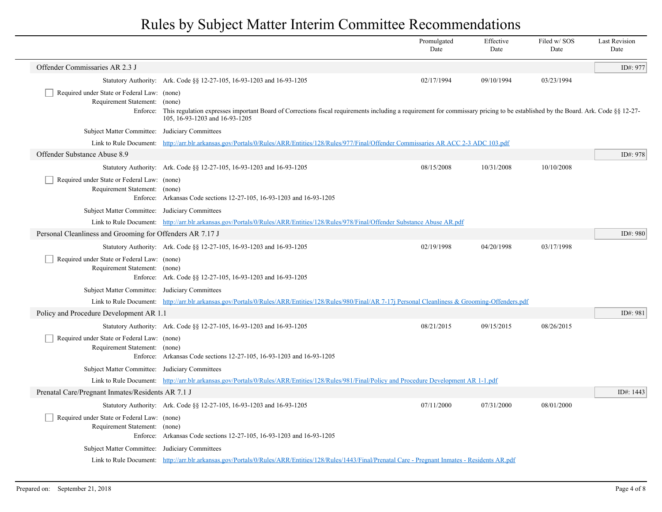|                                                                                   |                                                                                                                                                                                                                             | Promulgated<br>Date | Effective<br>Date | Filed w/SOS<br>Date | <b>Last Revision</b><br>Date |
|-----------------------------------------------------------------------------------|-----------------------------------------------------------------------------------------------------------------------------------------------------------------------------------------------------------------------------|---------------------|-------------------|---------------------|------------------------------|
| Offender Commissaries AR 2.3 J                                                    |                                                                                                                                                                                                                             |                     |                   |                     | ID#: 977                     |
|                                                                                   | Statutory Authority: Ark. Code §§ 12-27-105, 16-93-1203 and 16-93-1205                                                                                                                                                      | 02/17/1994          | 09/10/1994        | 03/23/1994          |                              |
| Required under State or Federal Law: (none)<br>Requirement Statement:<br>Enforce: | (none)<br>This regulation expresses important Board of Corrections fiscal requirements including a requirement for commissary pricing to be established by the Board. Ark. Code §§ 12-27-<br>105, 16-93-1203 and 16-93-1205 |                     |                   |                     |                              |
| Subject Matter Committee: Judiciary Committees                                    |                                                                                                                                                                                                                             |                     |                   |                     |                              |
|                                                                                   | Link to Rule Document: http://arr.blr.arkansas.gov/Portals/0/Rules/ARR/Entities/128/Rules/977/Final/Offender Commissaries AR ACC 2-3 ADC 103.pdf                                                                            |                     |                   |                     |                              |
| Offender Substance Abuse 8.9                                                      |                                                                                                                                                                                                                             |                     |                   |                     | ID#: 978                     |
|                                                                                   | Statutory Authority: Ark. Code §§ 12-27-105, 16-93-1203 and 16-93-1205                                                                                                                                                      | 08/15/2008          | 10/31/2008        | 10/10/2008          |                              |
| Required under State or Federal Law: (none)<br>Requirement Statement: (none)      | Enforce: Arkansas Code sections 12-27-105, 16-93-1203 and 16-93-1205                                                                                                                                                        |                     |                   |                     |                              |
| Subject Matter Committee: Judiciary Committees                                    |                                                                                                                                                                                                                             |                     |                   |                     |                              |
|                                                                                   | Link to Rule Document: http://arr.blr.arkansas.gov/Portals/0/Rules/ARR/Entities/128/Rules/978/Final/Offender Substance Abuse AR.pdf                                                                                         |                     |                   |                     |                              |
| Personal Cleanliness and Grooming for Offenders AR 7.17 J                         |                                                                                                                                                                                                                             |                     |                   |                     | ID#: 980                     |
|                                                                                   | Statutory Authority: Ark. Code §§ 12-27-105, 16-93-1203 and 16-93-1205                                                                                                                                                      | 02/19/1998          | 04/20/1998        | 03/17/1998          |                              |
| Required under State or Federal Law: (none)<br>Requirement Statement: (none)      | Enforce: Ark. Code §§ 12-27-105, 16-93-1203 and 16-93-1205                                                                                                                                                                  |                     |                   |                     |                              |
| Subject Matter Committee: Judiciary Committees                                    |                                                                                                                                                                                                                             |                     |                   |                     |                              |
|                                                                                   | Link to Rule Document: http://arr.blr.arkansas.gov/Portals/0/Rules/ARR/Entities/128/Rules/980/Final/AR 7-17j Personal Cleanliness & Grooming-Offenders.pdf                                                                  |                     |                   |                     |                              |
| Policy and Procedure Development AR 1.1                                           |                                                                                                                                                                                                                             |                     |                   |                     | ID#: 981                     |
|                                                                                   | Statutory Authority: Ark. Code §§ 12-27-105, 16-93-1203 and 16-93-1205                                                                                                                                                      | 08/21/2015          | 09/15/2015        | 08/26/2015          |                              |
| Required under State or Federal Law: (none)<br>Requirement Statement: (none)      | Enforce: Arkansas Code sections 12-27-105, 16-93-1203 and 16-93-1205                                                                                                                                                        |                     |                   |                     |                              |
| Subject Matter Committee: Judiciary Committees                                    |                                                                                                                                                                                                                             |                     |                   |                     |                              |
|                                                                                   | Link to Rule Document: http://arr.blr.arkansas.gov/Portals/0/Rules/ARR/Entities/128/Rules/981/Final/Policy and Procedure Development AR 1-1.pdf                                                                             |                     |                   |                     |                              |
| Prenatal Care/Pregnant Inmates/Residents AR 7.1 J                                 |                                                                                                                                                                                                                             |                     |                   |                     | ID#: 1443                    |
|                                                                                   | Statutory Authority: Ark. Code §§ 12-27-105, 16-93-1203 and 16-93-1205                                                                                                                                                      | 07/11/2000          | 07/31/2000        | 08/01/2000          |                              |
| Required under State or Federal Law: (none)<br>Requirement Statement: (none)      | Enforce: Arkansas Code sections 12-27-105, 16-93-1203 and 16-93-1205                                                                                                                                                        |                     |                   |                     |                              |
| Subject Matter Committee: Judiciary Committees                                    |                                                                                                                                                                                                                             |                     |                   |                     |                              |
|                                                                                   | Link to Rule Document: http://arr.blr.arkansas.gov/Portals/0/Rules/ARR/Entities/128/Rules/1443/Final/Prenatal Care - Pregnant Inmates - Residents AR.pdf                                                                    |                     |                   |                     |                              |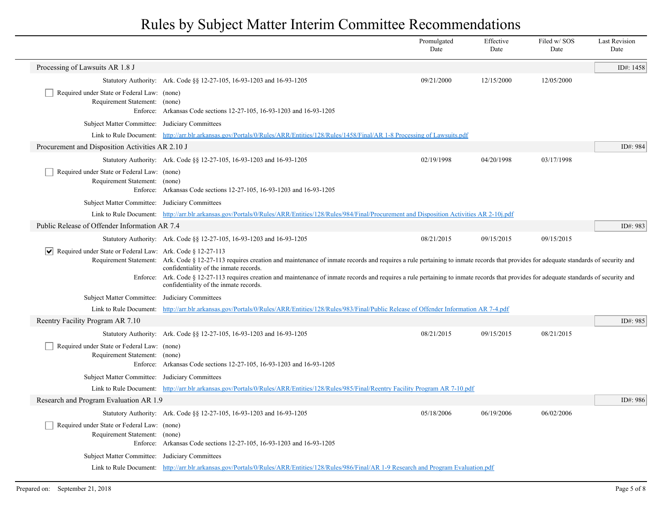|                                                                                   |                                                                                                                                                                                                                                                                                                                                                                                                                                                                                        | Promulgated<br>Date | Effective<br>Date | Filed w/SOS<br>Date | <b>Last Revision</b><br>Date |
|-----------------------------------------------------------------------------------|----------------------------------------------------------------------------------------------------------------------------------------------------------------------------------------------------------------------------------------------------------------------------------------------------------------------------------------------------------------------------------------------------------------------------------------------------------------------------------------|---------------------|-------------------|---------------------|------------------------------|
| Processing of Lawsuits AR 1.8 J                                                   |                                                                                                                                                                                                                                                                                                                                                                                                                                                                                        |                     |                   |                     | ID#: 1458                    |
|                                                                                   | Statutory Authority: Ark. Code §§ 12-27-105, 16-93-1203 and 16-93-1205                                                                                                                                                                                                                                                                                                                                                                                                                 | 09/21/2000          | 12/15/2000        | 12/05/2000          |                              |
| Required under State or Federal Law: (none)<br>Requirement Statement: (none)      | Enforce: Arkansas Code sections 12-27-105, 16-93-1203 and 16-93-1205                                                                                                                                                                                                                                                                                                                                                                                                                   |                     |                   |                     |                              |
| Subject Matter Committee: Judiciary Committees                                    |                                                                                                                                                                                                                                                                                                                                                                                                                                                                                        |                     |                   |                     |                              |
|                                                                                   | Link to Rule Document: http://arr.blr.arkansas.gov/Portals/0/Rules/ARR/Entities/128/Rules/1458/Final/AR 1-8 Processing of Lawsuits.pdf                                                                                                                                                                                                                                                                                                                                                 |                     |                   |                     |                              |
| Procurement and Disposition Activities AR 2.10 J                                  |                                                                                                                                                                                                                                                                                                                                                                                                                                                                                        |                     |                   |                     | ID#: 984                     |
|                                                                                   | Statutory Authority: Ark. Code §§ 12-27-105, 16-93-1203 and 16-93-1205                                                                                                                                                                                                                                                                                                                                                                                                                 | 02/19/1998          | 04/20/1998        | 03/17/1998          |                              |
| Required under State or Federal Law: (none)<br>Requirement Statement: (none)      | Enforce: Arkansas Code sections 12-27-105, 16-93-1203 and 16-93-1205                                                                                                                                                                                                                                                                                                                                                                                                                   |                     |                   |                     |                              |
| Subject Matter Committee: Judiciary Committees                                    |                                                                                                                                                                                                                                                                                                                                                                                                                                                                                        |                     |                   |                     |                              |
|                                                                                   | Link to Rule Document: http://arr.blr.arkansas.gov/Portals/0/Rules/ARR/Entities/128/Rules/984/Final/Procurement and Disposition Activities AR 2-10j.pdf                                                                                                                                                                                                                                                                                                                                |                     |                   |                     |                              |
| Public Release of Offender Information AR 7.4                                     |                                                                                                                                                                                                                                                                                                                                                                                                                                                                                        |                     |                   |                     | ID#: $983$                   |
|                                                                                   | Statutory Authority: Ark. Code §§ 12-27-105, 16-93-1203 and 16-93-1205                                                                                                                                                                                                                                                                                                                                                                                                                 | 08/21/2015          | 09/15/2015        | 09/15/2015          |                              |
| Required under State or Federal Law: Ark. Code § 12-27-113<br>$ \bm{\mathsf{v}} $ | Requirement Statement: Ark. Code § 12-27-113 requires creation and maintenance of inmate records and requires a rule pertaining to inmate records that provides for adequate standards of security and<br>confidentiality of the inmate records.<br>Enforce: Ark. Code § 12-27-113 requires creation and maintenance of inmate records and requires a rule pertaining to inmate records that provides for adequate standards of security and<br>confidentiality of the inmate records. |                     |                   |                     |                              |
| Subject Matter Committee: Judiciary Committees                                    |                                                                                                                                                                                                                                                                                                                                                                                                                                                                                        |                     |                   |                     |                              |
|                                                                                   | Link to Rule Document: http://arr.blr.arkansas.gov/Portals/0/Rules/ARR/Entities/128/Rules/983/Final/Public Release of Offender Information AR 7-4.pdf                                                                                                                                                                                                                                                                                                                                  |                     |                   |                     |                              |
| Reentry Facility Program AR 7.10                                                  |                                                                                                                                                                                                                                                                                                                                                                                                                                                                                        |                     |                   |                     | ID#: 985                     |
|                                                                                   | Statutory Authority: Ark. Code §§ 12-27-105, 16-93-1203 and 16-93-1205                                                                                                                                                                                                                                                                                                                                                                                                                 | 08/21/2015          | 09/15/2015        | 08/21/2015          |                              |
| Required under State or Federal Law: (none)<br>Requirement Statement: (none)      | Enforce: Arkansas Code sections 12-27-105, 16-93-1203 and 16-93-1205                                                                                                                                                                                                                                                                                                                                                                                                                   |                     |                   |                     |                              |
| Subject Matter Committee: Judiciary Committees                                    |                                                                                                                                                                                                                                                                                                                                                                                                                                                                                        |                     |                   |                     |                              |
|                                                                                   | Link to Rule Document: http://arr.blr.arkansas.gov/Portals/0/Rules/ARR/Entities/128/Rules/985/Final/Reentry Facility Program AR 7-10.pdf                                                                                                                                                                                                                                                                                                                                               |                     |                   |                     |                              |
| Research and Program Evaluation AR 1.9                                            |                                                                                                                                                                                                                                                                                                                                                                                                                                                                                        |                     |                   |                     | ID#: 986                     |
|                                                                                   | Statutory Authority: Ark. Code §§ 12-27-105, 16-93-1203 and 16-93-1205                                                                                                                                                                                                                                                                                                                                                                                                                 | 05/18/2006          | 06/19/2006        | 06/02/2006          |                              |
| Required under State or Federal Law: (none)<br>Requirement Statement: (none)      | Enforce: Arkansas Code sections 12-27-105, 16-93-1203 and 16-93-1205                                                                                                                                                                                                                                                                                                                                                                                                                   |                     |                   |                     |                              |
| Subject Matter Committee: Judiciary Committees                                    |                                                                                                                                                                                                                                                                                                                                                                                                                                                                                        |                     |                   |                     |                              |
|                                                                                   | Link to Rule Document: http://arr.blr.arkansas.gov/Portals/0/Rules/ARR/Entities/128/Rules/986/Final/AR 1-9 Research and Program Evaluation.pdf                                                                                                                                                                                                                                                                                                                                         |                     |                   |                     |                              |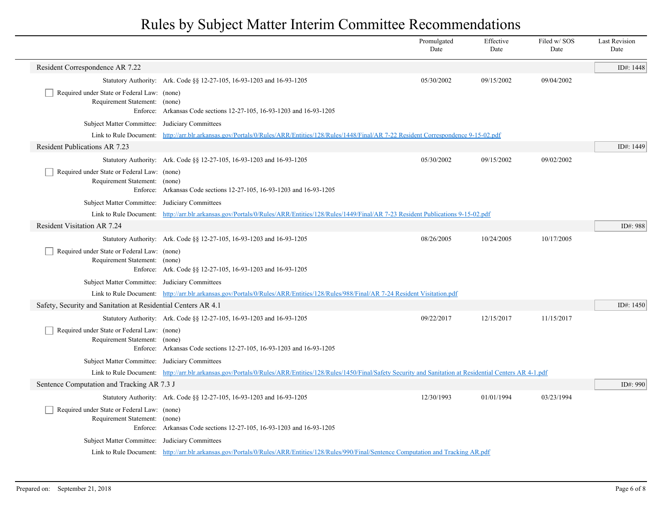|                                                                              |                                                                                                                                                                       | Promulgated<br>Date | Effective<br>Date | Filed w/SOS<br>Date | <b>Last Revision</b><br>Date |
|------------------------------------------------------------------------------|-----------------------------------------------------------------------------------------------------------------------------------------------------------------------|---------------------|-------------------|---------------------|------------------------------|
| Resident Correspondence AR 7.22                                              |                                                                                                                                                                       |                     |                   |                     | ID#: 1448                    |
|                                                                              | Statutory Authority: Ark. Code §§ 12-27-105, 16-93-1203 and 16-93-1205                                                                                                | 05/30/2002          | 09/15/2002        | 09/04/2002          |                              |
| Required under State or Federal Law: (none)<br>Requirement Statement: (none) |                                                                                                                                                                       |                     |                   |                     |                              |
|                                                                              | Enforce: Arkansas Code sections 12-27-105, 16-93-1203 and 16-93-1205                                                                                                  |                     |                   |                     |                              |
| Subject Matter Committee: Judiciary Committees                               |                                                                                                                                                                       |                     |                   |                     |                              |
|                                                                              | Link to Rule Document: http://arr.blr.arkansas.gov/Portals/0/Rules/ARR/Entities/128/Rules/1448/Final/AR 7-22 Resident Correspondence 9-15-02.pdf                      |                     |                   |                     |                              |
| <b>Resident Publications AR 7.23</b>                                         |                                                                                                                                                                       |                     |                   |                     | ID#: 1449                    |
|                                                                              | Statutory Authority: Ark. Code §§ 12-27-105, 16-93-1203 and 16-93-1205                                                                                                | 05/30/2002          | 09/15/2002        | 09/02/2002          |                              |
| Required under State or Federal Law: (none)                                  |                                                                                                                                                                       |                     |                   |                     |                              |
| Requirement Statement: (none)                                                | Enforce: Arkansas Code sections 12-27-105, 16-93-1203 and 16-93-1205                                                                                                  |                     |                   |                     |                              |
| Subject Matter Committee: Judiciary Committees                               |                                                                                                                                                                       |                     |                   |                     |                              |
|                                                                              | Link to Rule Document: http://arr.blr.arkansas.gov/Portals/0/Rules/ARR/Entities/128/Rules/1449/Final/AR 7-23 Resident Publications 9-15-02.pdf                        |                     |                   |                     |                              |
| <b>Resident Visitation AR 7.24</b>                                           |                                                                                                                                                                       |                     |                   |                     | ID#: 988                     |
|                                                                              | Statutory Authority: Ark. Code §§ 12-27-105, 16-93-1203 and 16-93-1205                                                                                                | 08/26/2005          | 10/24/2005        | 10/17/2005          |                              |
| Required under State or Federal Law: (none)                                  |                                                                                                                                                                       |                     |                   |                     |                              |
| Requirement Statement: (none)                                                |                                                                                                                                                                       |                     |                   |                     |                              |
|                                                                              | Enforce: Ark. Code §§ 12-27-105, 16-93-1203 and 16-93-1205                                                                                                            |                     |                   |                     |                              |
| Subject Matter Committee: Judiciary Committees                               |                                                                                                                                                                       |                     |                   |                     |                              |
|                                                                              | Link to Rule Document: http://arr.blr.arkansas.gov/Portals/0/Rules/ARR/Entities/128/Rules/988/Final/AR 7-24 Resident Visitation.pdf                                   |                     |                   |                     |                              |
| Safety, Security and Sanitation at Residential Centers AR 4.1                |                                                                                                                                                                       |                     |                   |                     | ID#: $1450$                  |
|                                                                              | Statutory Authority: Ark. Code §§ 12-27-105, 16-93-1203 and 16-93-1205                                                                                                | 09/22/2017          | 12/15/2017        | 11/15/2017          |                              |
| Required under State or Federal Law: (none)                                  |                                                                                                                                                                       |                     |                   |                     |                              |
| Requirement Statement: (none)                                                | Enforce: Arkansas Code sections 12-27-105, 16-93-1203 and 16-93-1205                                                                                                  |                     |                   |                     |                              |
| Subject Matter Committee: Judiciary Committees                               |                                                                                                                                                                       |                     |                   |                     |                              |
|                                                                              | Link to Rule Document: http://arr.blr.arkansas.gov/Portals/0/Rules/ARR/Entities/128/Rules/1450/Final/Safety Security and Sanitation at Residential Centers AR 4-1.pdf |                     |                   |                     |                              |
| Sentence Computation and Tracking AR 7.3 J                                   |                                                                                                                                                                       |                     |                   |                     | ID#: 990                     |
|                                                                              | Statutory Authority: Ark. Code §§ 12-27-105, 16-93-1203 and 16-93-1205                                                                                                | 12/30/1993          | 01/01/1994        | 03/23/1994          |                              |
| Required under State or Federal Law: (none)                                  |                                                                                                                                                                       |                     |                   |                     |                              |
| Requirement Statement: (none)                                                |                                                                                                                                                                       |                     |                   |                     |                              |
|                                                                              | Enforce: Arkansas Code sections 12-27-105, 16-93-1203 and 16-93-1205                                                                                                  |                     |                   |                     |                              |
| Subject Matter Committee: Judiciary Committees                               |                                                                                                                                                                       |                     |                   |                     |                              |
|                                                                              | Link to Rule Document: http://arr.blr.arkansas.gov/Portals/0/Rules/ARR/Entities/128/Rules/990/Final/Sentence Computation and Tracking AR.pdf                          |                     |                   |                     |                              |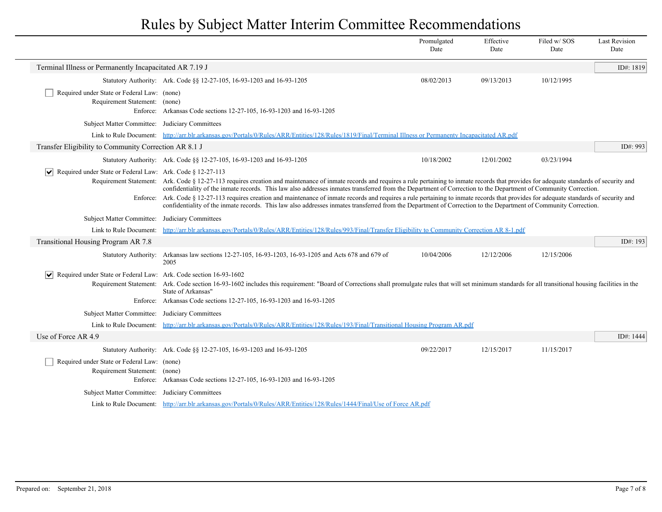|                                                                                          |                                                                                                                                                                                                                                                                                                                                                                                                                                                                                                                                                                                                                                                                                                                                          | Promulgated<br>Date | Effective<br>Date | Filed w/SOS<br>Date | <b>Last Revision</b><br>Date |
|------------------------------------------------------------------------------------------|------------------------------------------------------------------------------------------------------------------------------------------------------------------------------------------------------------------------------------------------------------------------------------------------------------------------------------------------------------------------------------------------------------------------------------------------------------------------------------------------------------------------------------------------------------------------------------------------------------------------------------------------------------------------------------------------------------------------------------------|---------------------|-------------------|---------------------|------------------------------|
| Terminal Illness or Permanently Incapacitated AR 7.19 J                                  |                                                                                                                                                                                                                                                                                                                                                                                                                                                                                                                                                                                                                                                                                                                                          |                     |                   |                     | ID#: 1819                    |
|                                                                                          | Statutory Authority: Ark. Code §§ 12-27-105, 16-93-1203 and 16-93-1205                                                                                                                                                                                                                                                                                                                                                                                                                                                                                                                                                                                                                                                                   | 08/02/2013          | 09/13/2013        | 10/12/1995          |                              |
| Required under State or Federal Law: (none)<br>Requirement Statement: (none)             | Enforce: Arkansas Code sections 12-27-105, 16-93-1203 and 16-93-1205                                                                                                                                                                                                                                                                                                                                                                                                                                                                                                                                                                                                                                                                     |                     |                   |                     |                              |
| Subject Matter Committee: Judiciary Committees                                           |                                                                                                                                                                                                                                                                                                                                                                                                                                                                                                                                                                                                                                                                                                                                          |                     |                   |                     |                              |
|                                                                                          | Link to Rule Document: http://arr.blr.arkansas.gov/Portals/0/Rules/ARR/Entities/128/Rules/1819/Final/Terminal Illness or Permanenty Incapacitated AR.pdf                                                                                                                                                                                                                                                                                                                                                                                                                                                                                                                                                                                 |                     |                   |                     |                              |
| Transfer Eligibility to Community Correction AR 8.1 J                                    |                                                                                                                                                                                                                                                                                                                                                                                                                                                                                                                                                                                                                                                                                                                                          |                     |                   |                     | ID#: 993                     |
|                                                                                          | Statutory Authority: Ark. Code §§ 12-27-105, 16-93-1203 and 16-93-1205                                                                                                                                                                                                                                                                                                                                                                                                                                                                                                                                                                                                                                                                   | 10/18/2002          | 12/01/2002        | 03/23/1994          |                              |
| $ \mathbf{v} $ Required under State or Federal Law: Ark. Code § 12-27-113                | Requirement Statement: Ark. Code § 12-27-113 requires creation and maintenance of inmate records and requires a rule pertaining to inmate records that provides for adequate standards of security and<br>confidentiality of the inmate records. This law also addresses inmates transferred from the Department of Correction to the Department of Community Correction.<br>Enforce: Ark. Code § 12-27-113 requires creation and maintenance of inmate records and requires a rule pertaining to inmate records that provides for adequate standards of security and<br>confidentiality of the inmate records. This law also addresses inmates transferred from the Department of Correction to the Department of Community Correction. |                     |                   |                     |                              |
| Subject Matter Committee: Judiciary Committees                                           |                                                                                                                                                                                                                                                                                                                                                                                                                                                                                                                                                                                                                                                                                                                                          |                     |                   |                     |                              |
| Link to Rule Document:                                                                   | http://arr.blr.arkansas.gov/Portals/0/Rules/ARR/Entities/128/Rules/993/Final/Transfer Eligibility to Community Correction AR 8-1.pdf                                                                                                                                                                                                                                                                                                                                                                                                                                                                                                                                                                                                     |                     |                   |                     |                              |
| Transitional Housing Program AR 7.8                                                      |                                                                                                                                                                                                                                                                                                                                                                                                                                                                                                                                                                                                                                                                                                                                          |                     |                   |                     | ID#: 193                     |
| <b>Statutory Authority:</b>                                                              | Arkansas law sections 12-27-105, 16-93-1203, 16-93-1205 and Acts 678 and 679 of<br>2005                                                                                                                                                                                                                                                                                                                                                                                                                                                                                                                                                                                                                                                  | 10/04/2006          | 12/12/2006        | 12/15/2006          |                              |
| $ \bm{\mathsf{v}} $<br>Required under State or Federal Law: Ark. Code section 16-93-1602 | Requirement Statement: Ark. Code section 16-93-1602 includes this requirement: "Board of Corrections shall promulgate rules that will set minimum standards for all transitional housing facilities in the<br>State of Arkansas"<br>Enforce: Arkansas Code sections 12-27-105, 16-93-1203 and 16-93-1205                                                                                                                                                                                                                                                                                                                                                                                                                                 |                     |                   |                     |                              |
| Subject Matter Committee: Judiciary Committees                                           |                                                                                                                                                                                                                                                                                                                                                                                                                                                                                                                                                                                                                                                                                                                                          |                     |                   |                     |                              |
|                                                                                          | Link to Rule Document: http://arr.blr.arkansas.gov/Portals/0/Rules/ARR/Entities/128/Rules/193/Final/Transitional Housing Program AR.pdf                                                                                                                                                                                                                                                                                                                                                                                                                                                                                                                                                                                                  |                     |                   |                     |                              |
| Use of Force AR 4.9                                                                      |                                                                                                                                                                                                                                                                                                                                                                                                                                                                                                                                                                                                                                                                                                                                          |                     |                   |                     | ID#: 1444                    |
|                                                                                          | Statutory Authority: Ark. Code §§ 12-27-105, 16-93-1203 and 16-93-1205                                                                                                                                                                                                                                                                                                                                                                                                                                                                                                                                                                                                                                                                   | 09/22/2017          | 12/15/2017        | 11/15/2017          |                              |
| Required under State or Federal Law: (none)<br>Requirement Statement: (none)             | Enforce: Arkansas Code sections 12-27-105, 16-93-1203 and 16-93-1205                                                                                                                                                                                                                                                                                                                                                                                                                                                                                                                                                                                                                                                                     |                     |                   |                     |                              |
| Subject Matter Committee: Judiciary Committees                                           |                                                                                                                                                                                                                                                                                                                                                                                                                                                                                                                                                                                                                                                                                                                                          |                     |                   |                     |                              |
|                                                                                          | Link to Rule Document: http://arr.blr.arkansas.gov/Portals/0/Rules/ARR/Entities/128/Rules/1444/Final/Use of Force AR.pdf                                                                                                                                                                                                                                                                                                                                                                                                                                                                                                                                                                                                                 |                     |                   |                     |                              |